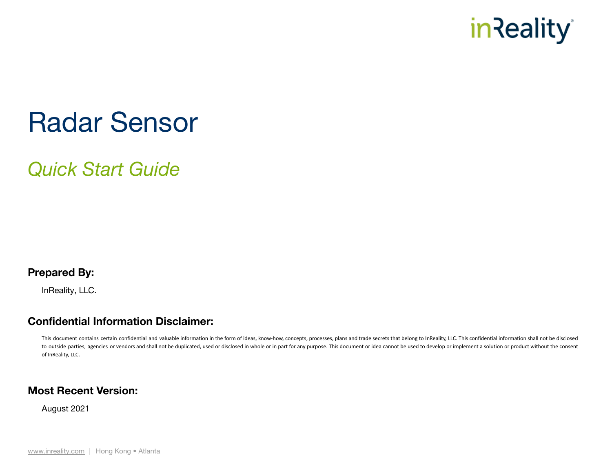

# Radar Sensor

*Quick Start Guide*

#### **Prepared By:**

InReality, LLC.

#### **Confidential Information Disclaimer:**

This document contains certain confidential and valuable information in the form of ideas, know-how, concepts, processes, plans and trade secrets that belong to InReality, LLC. This confidential information shall not be di to outside parties, agencies or vendors and shall not be duplicated, used or disclosed in whole or in part for any purpose. This document or idea cannot be used to develop or implement a solution or product without the con of InReality, LLC.

#### **Most Recent Version:**

August 2021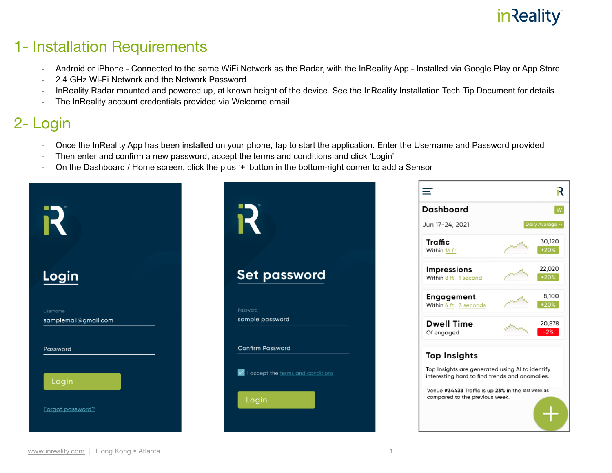### 1- Installation Requirements

- Android or iPhone Connected to the same WiFi Network as the Radar, with the InReality App Installed via Google Play or App Store
- 2.4 GHz Wi-Fi Network and the Network Password
- InReality Radar mounted and powered up, at known height of the device. See the InReality Installation Tech Tip Document for details.
- The InReality account credentials provided via Welcome email

### 2- Login

- Once the InReality App has been installed on your phone, tap to start the application. Enter the Username and Password provided
- Then enter and confirm a new password, accept the terms and conditions and click 'Login'
- On the Dashboard / Home screen, click the plus '+' button in the bottom-right corner to add a Sensor

|                                  |                                              | R<br>≡<br><b>Dashboard</b><br>W<br>Jun 17-24, 2021<br>Daily Average v<br>30,120<br>Traffic<br>$+20%$<br>Within 16 ft                                                                      |
|----------------------------------|----------------------------------------------|-------------------------------------------------------------------------------------------------------------------------------------------------------------------------------------------|
| Login                            | <b>Set password</b>                          | 22,020<br>Impressions<br>$+20%$<br>Within 8 ft, 1 second                                                                                                                                  |
| Username<br>samplemail@gmail.com | Password<br>sample password                  | 8,100<br>Engagement<br>$+20%$<br>Within 4 ft, 3 seconds<br><b>Dwell Time</b><br>20,878<br>$-2%$<br>Of engaged                                                                             |
| Password                         | <b>Confirm Password</b>                      | <b>Top Insights</b>                                                                                                                                                                       |
| Login<br>Forgot password?        | V I accept the terms and conditions<br>Login | Top Insights are generated using AI to identify<br>interesting hard to find trends and anomalies.<br>Venue #34433 Traffic is up 23% in the last week as<br>compared to the previous week. |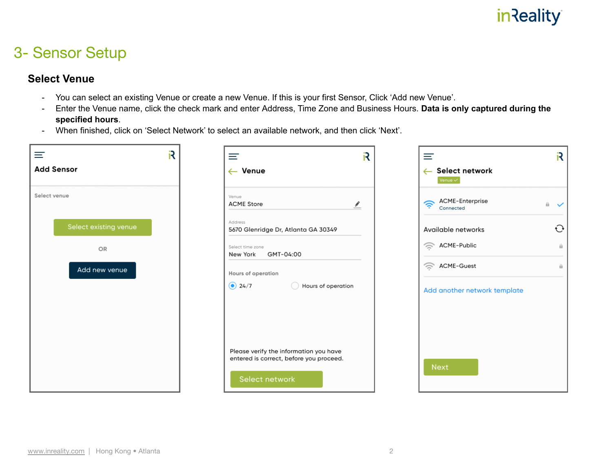### 3- Sensor Setup

#### **Select Venue**

- You can select an existing Venue or create a new Venue. If this is your first Sensor, Click 'Add new Venue'.
- Enter the Venue name, click the check mark and enter Address, Time Zone and Business Hours. **Data is only captured during the specified hours**.
- When finished, click on 'Select Network' to select an available network, and then click 'Next'.

| ≡                     | R | R<br>≡                                                                            | Ξ                                                    | R                       |
|-----------------------|---|-----------------------------------------------------------------------------------|------------------------------------------------------|-------------------------|
| <b>Add Sensor</b>     |   | $\leftarrow$ Venue                                                                | Select network<br>$\leftarrow$<br>Venue $\checkmark$ |                         |
| Select venue          |   | Venue<br><b>ACME Store</b><br>$\frac{\hat{\mathbf{r}}}{\hat{\mathbf{r}}}$         | ACME-Enterprise<br>今<br>Connected                    | $\mathbf{a}$ $\sqrt{ }$ |
| Select existing venue |   | Address<br>5670 Glenridge Dr, Atlanta GA 30349                                    | Available networks                                   | $\bigodot$              |
| OR                    |   | Select time zone<br>GMT-04:00<br>New York                                         | ACME-Public                                          | $\theta$                |
| Add new venue         |   | Hours of operation                                                                | $\widehat{\mathbb{R}}$<br>ACME-Guest                 | $\theta$                |
|                       |   | $\odot$ 24/7<br>Hours of operation                                                | Add another network template                         |                         |
|                       |   |                                                                                   |                                                      |                         |
|                       |   |                                                                                   |                                                      |                         |
|                       |   | Please verify the information you have<br>entered is correct, before you proceed. | <b>Next</b>                                          |                         |
|                       |   | Select network                                                                    |                                                      |                         |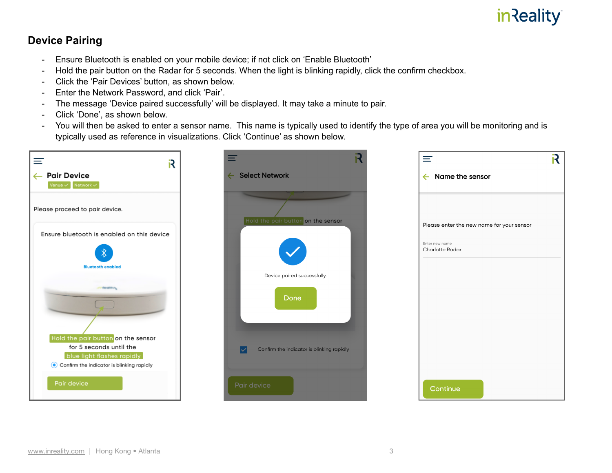#### **Device Pairing**

- Ensure Bluetooth is enabled on your mobile device; if not click on 'Enable Bluetooth'
- Hold the pair button on the Radar for 5 seconds. When the light is blinking rapidly, click the confirm checkbox.
- Click the 'Pair Devices' button, as shown below.
- Enter the Network Password, and click 'Pair'.
- The message 'Device paired successfully' will be displayed. It may take a minute to pair.
- Click 'Done', as shown below.
- You will then be asked to enter a sensor name. This name is typically used to identify the type of area you will be monitoring and is typically used as reference in visualizations. Click 'Continue' as shown below.

| ≡<br>R                                                | ≡                                         | $\equiv$                                  | R |
|-------------------------------------------------------|-------------------------------------------|-------------------------------------------|---|
| ← Pair Device                                         | ← Select Network                          | Name the sensor<br>$\leftarrow$           |   |
| Venue $\checkmark$ Network $\checkmark$               |                                           |                                           |   |
| Please proceed to pair device.                        |                                           |                                           |   |
| Ensure bluetooth is enabled on this device            | Hold the pair button on the sensor        | Please enter the new name for your sensor |   |
|                                                       |                                           | Enter new name<br>Charlotte Radar         |   |
| ∦<br><b>Bluetooth enabled</b>                         |                                           |                                           |   |
|                                                       | Device paired successfully.               |                                           |   |
| and the addition.                                     | Done                                      |                                           |   |
|                                                       |                                           |                                           |   |
| Hold the pair button on the sensor                    |                                           |                                           |   |
| for 5 seconds until the<br>blue light flashes rapidly | Confirm the indicator is blinking rapidly |                                           |   |
| Confirm the indicator is blinking rapidly             |                                           |                                           |   |
| Pair device                                           | Pair device                               | Continue                                  |   |
|                                                       |                                           |                                           |   |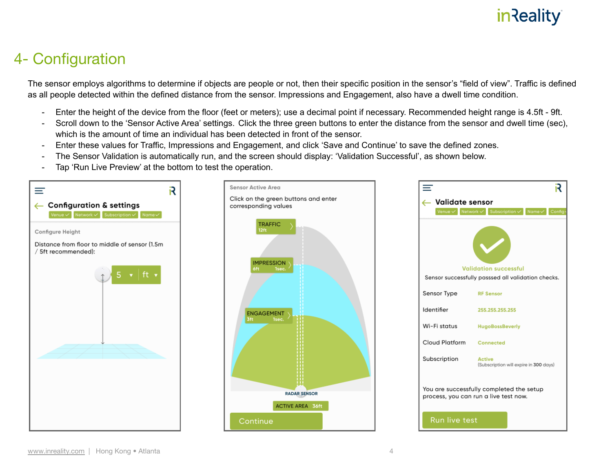### 4- Configuration

The sensor employs algorithms to determine if objects are people or not, then their specific position in the sensor's "field of view". Traffic is defined as all people detected within the defined distance from the sensor. Impressions and Engagement, also have a dwell time condition.

- Enter the height of the device from the floor (feet or meters); use a decimal point if necessary. Recommended height range is 4.5ft 9ft.
- Scroll down to the 'Sensor Active Area' settings. Click the three green buttons to enter the distance from the sensor and dwell time (sec), which is the amount of time an individual has been detected in front of the sensor.
- Enter these values for Traffic, Impressions and Engagement, and click 'Save and Continue' to save the defined zones.
- The Sensor Validation is automatically run, and the screen should display: 'Validation Successful', as shown below.
- Tap 'Run Live Preview' at the bottom to test the operation.





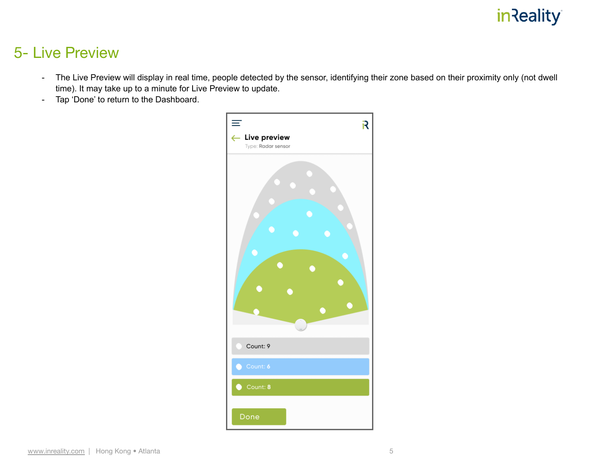#### 5- Live Preview

- The Live Preview will display in real time, people detected by the sensor, identifying their zone based on their proximity only (not dwell time). It may take up to a minute for Live Preview to update.
- Tap 'Done' to return to the Dashboard.

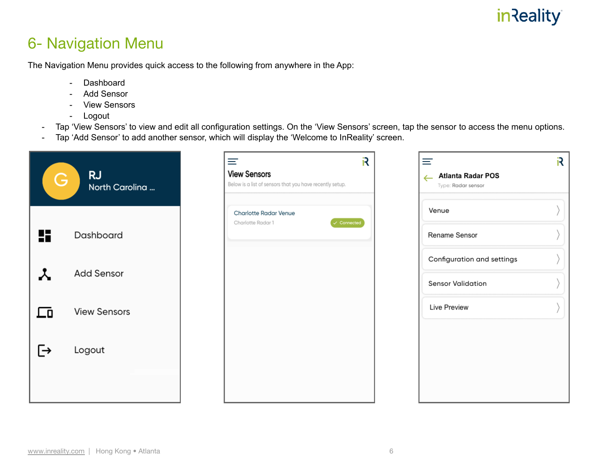### 6- Navigation Menu

The Navigation Menu provides quick access to the following from anywhere in the App:

- Dashboard
- Add Sensor
- View Sensors
- Logout
- Tap 'View Sensors' to view and edit all configuration settings. On the 'View Sensors' screen, tap the sensor to access the menu options.
- Tap 'Add Sensor' to add another sensor, which will display the 'Welcome to InReality' screen.

| Ġ  | <b>RJ</b><br>North Carolina | R<br>亖<br><b>View Sensors</b><br>Below is a list of sensors that you have recently setup. | ≡<br><b>Atlanta Radar POS</b><br>$\leftarrow$<br>Type: Radar sensor | R |
|----|-----------------------------|-------------------------------------------------------------------------------------------|---------------------------------------------------------------------|---|
| H  | Dashboard                   | Charlotte Radar Venue<br>$\checkmark$ Connected<br>Charlotte Radar 1                      | Venue<br>Rename Sensor                                              |   |
|    |                             |                                                                                           | Configuration and settings                                          |   |
|    | <b>Add Sensor</b>           |                                                                                           | <b>Sensor Validation</b>                                            |   |
| ∟o | <b>View Sensors</b>         |                                                                                           | Live Preview                                                        |   |
| 「→ | Logout                      |                                                                                           |                                                                     |   |
|    |                             |                                                                                           |                                                                     |   |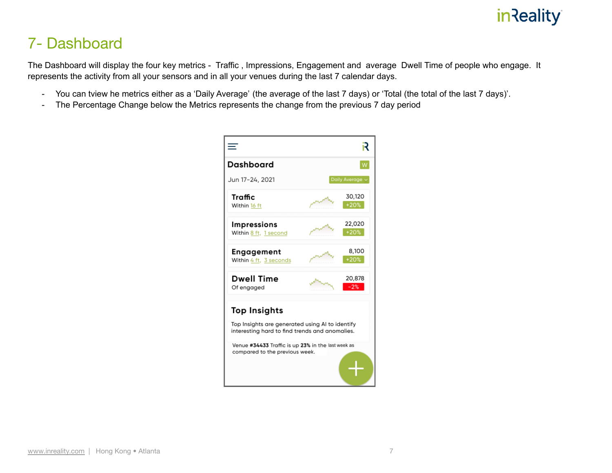### 7- Dashboard

The Dashboard will display the four key metrics - Traffic , Impressions, Engagement and average Dwell Time of people who engage. It represents the activity from all your sensors and in all your venues during the last 7 calendar days.

- You can tview he metrics either as a 'Daily Average' (the average of the last 7 days) or 'Total (the total of the last 7 days)'.
- The Percentage Change below the Metrics represents the change from the previous 7 day period